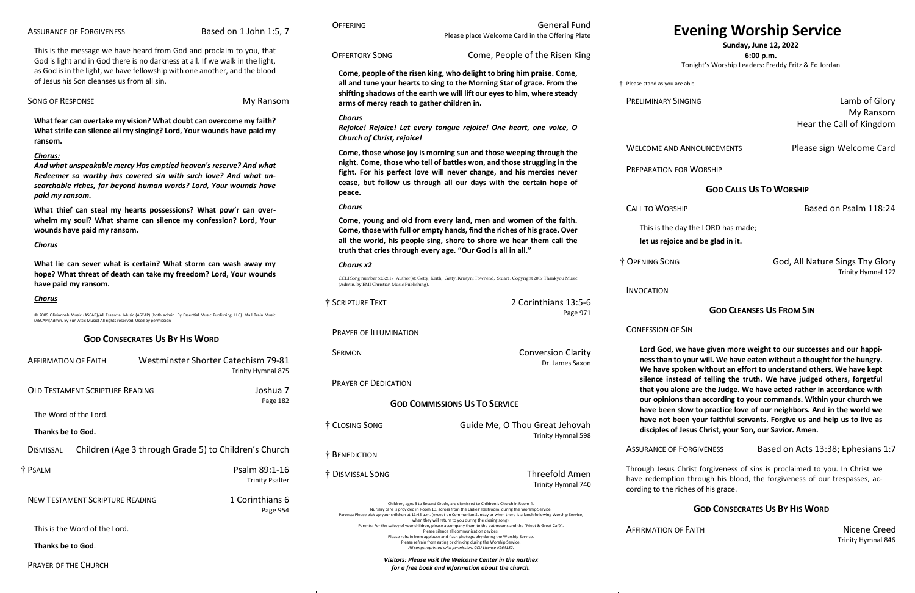#### ASSURANCE OF FORGIVENESS Based on 1 John 1:5, 7

<span id="page-0-0"></span>This is the message we have heard from God and proclaim to you, that God is light and in God there is no darkness at all. If we walk in the light, as God is in the light, we have fellowship with one another, and the blood of Jesus his Son cleanses us from all sin.

#### SONG OF RESPONSE **My Ransom**

**What fear can overtake my vision? What doubt can overcome my faith? What strife can silence all my singing? Lord, Your wounds have paid my ransom.**

#### *Chorus:*

*And what unspeakable mercy Has emptied heaven's reserve? And what Redeemer so worthy has covered sin with such love? And what unsearchable riches, far beyond human words? Lord, Your wounds have paid my ransom.*

**What thief can steal my hearts possessions? What pow'r can overwhelm my soul? What shame can silence my confession? Lord, Your wounds have paid my ransom.**

#### *Chorus*

**PRELIMINARY SINGING Lamb of Glory** My Ransom Hear the Call of Kingdom

WELCOME AND ANNOUNCEMENTS Please sign Welcome Card

**What lie can sever what is certain? What storm can wash away my hope? What threat of death can take my freedom? Lord, Your wounds have paid my ransom.**

#### *Chorus*

© 2009 Oliviannah Music (ASCAP)/All Essential Music (ASCAP) (both admin. By Essential Music Publishing, LLC). Mail Train Music (ASCAP)(Admin. By Fun Attic Music) All rights reserved. Used by permission

#### **GOD CONSECRATES US BY HIS WORD**

| <b>AFFIRMATION OF FAITH</b>            | Westminster Shorter Catechism 79-81<br>Trinity Hymnal 875 |
|----------------------------------------|-----------------------------------------------------------|
| OLD TESTAMENT SCRIPTURE READING        | Joshua 7<br>Page 182                                      |
| The Word of the Lord.                  |                                                           |
| Thanks be to God.                      |                                                           |
| <b>DISMISSAL</b>                       | Children (Age 3 through Grade 5) to Children's Church     |
| † Psalm                                | Psalm 89:1-16<br><b>Trinity Psalter</b>                   |
| <b>NEW TESTAMENT SCRIPTURE READING</b> | 1 Corinthians 6<br>Page 954                               |
| This is the Word of the Lord.          |                                                           |
| Thanks be to God.                      |                                                           |

PRAYER OF THE CHURCH

## **[Evening Worship Service](#page-0-0)**

**Sunday, June 12, 2022**

**6:00 p.m.**

Tonight's Worship Leaders: Freddy Fritz & Ed Jordan

† Please stand as you are able

PREPARATION FOR WORSHIP

### **GOD CALLS US TO WORSHIP**

CALL TO WORSHIP **Based on Psalm 118:24** 

This is the day the LORD has made;

**let us rejoice and be glad in it.** 

† OPENING SONG God, All Nature Sings Thy Glory Trinity Hymnal 122

INVOCATION

#### **GOD CLEANSES US FROM SIN**

ASSURANCE OF FORGIVENESS Based on Acts 13:38; Ephesians 1:7

#### CONFESSION OF SIN

**Lord God, we have given more weight to our successes and our happiness than to your will. We have eaten without a thought for the hungry. We have spoken without an effort to understand others. We have kept silence instead of telling the truth. We have judged others, forgetful that you alone are the Judge. We have acted rather in accordance with our opinions than according to your commands. Within your church we have been slow to practice love of our neighbors. And in the world we have not been your faithful servants. Forgive us and help us to live as disciples of Jesus Christ, your Son, our Savior. Amen.**

Through Jesus Christ forgiveness of sins is proclaimed to you. In Christ we have redemption through his blood, the forgiveness of our trespasses, according to the riches of his grace.

AFFIRMATION OF FAITH **Nicel Afficient Creed** 

### **GOD CONSECRATES US BY HIS WORD**

Trinity Hymnal 846

| <b>OFFERING</b> | <b>General Fund</b>                             |
|-----------------|-------------------------------------------------|
|                 | Please place Welcome Card in the Offering Plate |

OFFERTORY SONG Come, People of the Risen King

**Come, people of the risen king, who delight to bring him praise. Come, all and tune your hearts to sing to the Morning Star of grace. From the shifting shadows of the earth we will lift our eyes to him, where steady arms of mercy reach to gather children in.**

#### *Chorus*

*Rejoice! Rejoice! Let every tongue rejoice! One heart, one voice, O Church of Christ, rejoice!*

**Come, those whose joy is morning sun and those weeping through the night. Come, those who tell of battles won, and those struggling in the fight. For his perfect love will never change, and his mercies never cease, but follow us through all our days with the certain hope of peace.**

#### *Chorus*

**Come, young and old from every land, men and women of the faith. Come, those with full or empty hands, find the riches of his grace. Over all the world, his people sing, shore to shore we hear them call the truth that cries through every age. "Our God is all in all."**

#### *Chorus x2*

CCLI Song number 5232617 Author(s): Getty, Keith; Getty, Kristyn; Townend, Stuart . Copyright 2007 Thankyou Music (Admin. by EMI Christian Music Publishing).

| † Scripture Text            | 2 Corinthians 13:5-6<br>Page 971                                                                                                                                                                                                                                                                                                                                                                                                                                                                                                                     |
|-----------------------------|------------------------------------------------------------------------------------------------------------------------------------------------------------------------------------------------------------------------------------------------------------------------------------------------------------------------------------------------------------------------------------------------------------------------------------------------------------------------------------------------------------------------------------------------------|
| PRAYER OF ILLUMINATION      |                                                                                                                                                                                                                                                                                                                                                                                                                                                                                                                                                      |
| <b>SERMON</b>               | <b>Conversion Clarity</b><br>Dr. James Saxon                                                                                                                                                                                                                                                                                                                                                                                                                                                                                                         |
| <b>PRAYER OF DEDICATION</b> |                                                                                                                                                                                                                                                                                                                                                                                                                                                                                                                                                      |
|                             | <b>GOD COMMISSIONS US TO SERVICE</b>                                                                                                                                                                                                                                                                                                                                                                                                                                                                                                                 |
| † Closing Song              | Guide Me, O Thou Great Jehovah<br>Trinity Hymnal 598                                                                                                                                                                                                                                                                                                                                                                                                                                                                                                 |
| † Benediction               |                                                                                                                                                                                                                                                                                                                                                                                                                                                                                                                                                      |
| † Dismissal Song            | <b>Threefold Amen</b><br>Trinity Hymnal 740                                                                                                                                                                                                                                                                                                                                                                                                                                                                                                          |
|                             | Children, ages 3 to Second Grade, are dismissed to Children's Church in Room 4.<br>Nursery care is provided in Room 13, across from the Ladies' Restroom, during the Worship Service.<br>Parents: Please pick up your children at 11:45 a.m. (except on Communion Sunday or when there is a lunch following Worship Service,<br>when they will return to you during the closing song).<br>Parents: For the safety of your children, please accompany them to the bathrooms and the "Meet & Greet Café".<br>Please silence all communication devices. |

Please silence all communication devices. Please refrain from applause and flash photography during the Worship Service. Please refrain from eating or drinking during the Worship Service. *All songs reprinted with permission. CCLI License #264182.*

*Visitors: Please visit the Welcome Center in the narthex for a free book and information about the church.*